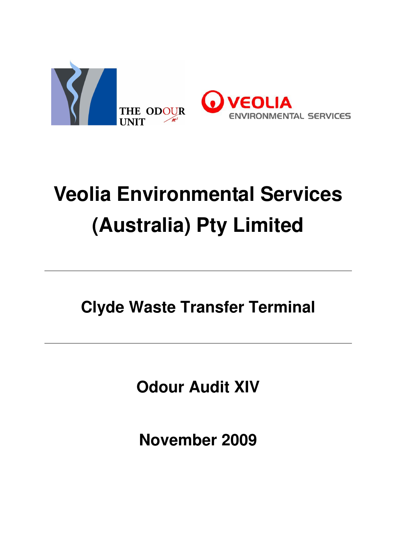

# **Veolia Environmental Services (Australia) Pty Limited**

**Clyde Waste Transfer Terminal** 

**Odour Audit XIV** 

**November 2009**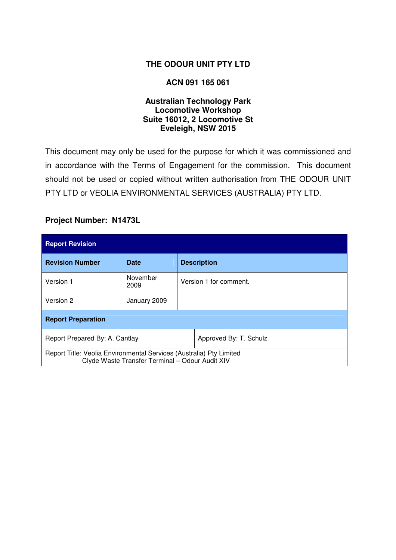#### **THE ODOUR UNIT PTY LTD**

#### **ACN 091 165 061**

#### **Australian Technology Park Locomotive Workshop Suite 16012, 2 Locomotive St Eveleigh, NSW 2015**

This document may only be used for the purpose for which it was commissioned and in accordance with the Terms of Engagement for the commission. This document should not be used or copied without written authorisation from THE ODOUR UNIT PTY LTD or VEOLIA ENVIRONMENTAL SERVICES (AUSTRALIA) PTY LTD.

#### **Project Number: N1473L**

| <b>Report Revision</b>                                                                                                 |                  |                        |                    |  |  |
|------------------------------------------------------------------------------------------------------------------------|------------------|------------------------|--------------------|--|--|
| <b>Revision Number</b>                                                                                                 | Date             |                        | <b>Description</b> |  |  |
| Version 1                                                                                                              | November<br>2009 | Version 1 for comment. |                    |  |  |
| Version 2                                                                                                              | January 2009     |                        |                    |  |  |
| <b>Report Preparation</b>                                                                                              |                  |                        |                    |  |  |
| Report Prepared By: A. Cantlay                                                                                         |                  | Approved By: T. Schulz |                    |  |  |
| Report Title: Veolia Environmental Services (Australia) Pty Limited<br>Clyde Waste Transfer Terminal - Odour Audit XIV |                  |                        |                    |  |  |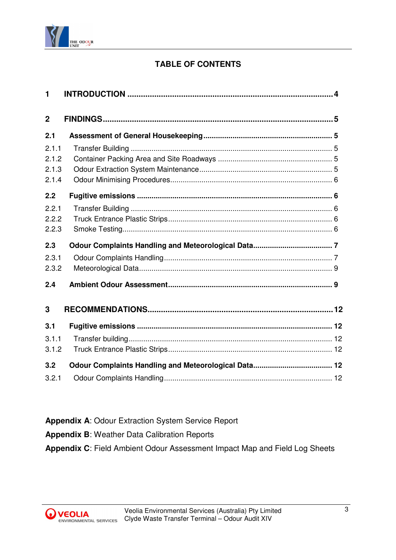

# **TABLE OF CONTENTS**

| 1                       |  |
|-------------------------|--|
| $\overline{2}$          |  |
| 2.1                     |  |
| 2.1.1<br>2.1.2<br>2.1.3 |  |
| 2.1.4                   |  |
| 2.2                     |  |
| 2.2.1<br>2.2.2<br>2.2.3 |  |
| 2.3                     |  |
| 2.3.1<br>2.3.2          |  |
| 2.4                     |  |
| 3                       |  |
| 3.1                     |  |
| 3.1.1<br>3.1.2          |  |
| 3.2                     |  |
| 3.2.1                   |  |

**Appendix A**: Odour Extraction System Service Report **Appendix B**: Weather Data Calibration Reports **Appendix C**: Field Ambient Odour Assessment Impact Map and Field Log Sheets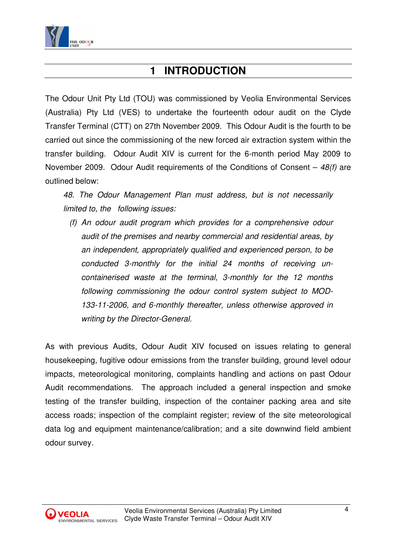

# **1 INTRODUCTION**

The Odour Unit Pty Ltd (TOU) was commissioned by Veolia Environmental Services (Australia) Pty Ltd (VES) to undertake the fourteenth odour audit on the Clyde Transfer Terminal (CTT) on 27th November 2009. This Odour Audit is the fourth to be carried out since the commissioning of the new forced air extraction system within the transfer building. Odour Audit XIV is current for the 6-month period May 2009 to November 2009. Odour Audit requirements of the Conditions of Consent  $-48(f)$  are outlined below:

48. The Odour Management Plan must address, but is not necessarily limited to, the following issues:

(f) An odour audit program which provides for a comprehensive odour audit of the premises and nearby commercial and residential areas, by an independent, appropriately qualified and experienced person, to be conducted 3-monthly for the initial 24 months of receiving uncontainerised waste at the terminal, 3-monthly for the 12 months following commissioning the odour control system subject to MOD-133-11-2006, and 6-monthly thereafter, unless otherwise approved in writing by the Director-General.

As with previous Audits, Odour Audit XIV focused on issues relating to general housekeeping, fugitive odour emissions from the transfer building, ground level odour impacts, meteorological monitoring, complaints handling and actions on past Odour Audit recommendations. The approach included a general inspection and smoke testing of the transfer building, inspection of the container packing area and site access roads; inspection of the complaint register; review of the site meteorological data log and equipment maintenance/calibration; and a site downwind field ambient odour survey.

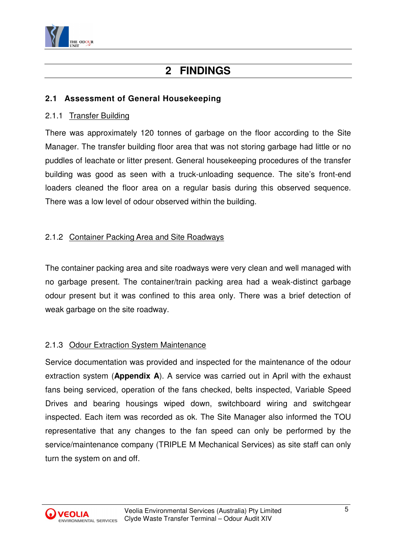

# **2 FINDINGS**

# **2.1 Assessment of General Housekeeping**

### 2.1.1 Transfer Building

There was approximately 120 tonnes of garbage on the floor according to the Site Manager. The transfer building floor area that was not storing garbage had little or no puddles of leachate or litter present. General housekeeping procedures of the transfer building was good as seen with a truck-unloading sequence. The site's front-end loaders cleaned the floor area on a regular basis during this observed sequence. There was a low level of odour observed within the building.

# 2.1.2 Container Packing Area and Site Roadways

The container packing area and site roadways were very clean and well managed with no garbage present. The container/train packing area had a weak-distinct garbage odour present but it was confined to this area only. There was a brief detection of weak garbage on the site roadway.

# 2.1.3 Odour Extraction System Maintenance

Service documentation was provided and inspected for the maintenance of the odour extraction system (**Appendix A**). A service was carried out in April with the exhaust fans being serviced, operation of the fans checked, belts inspected, Variable Speed Drives and bearing housings wiped down, switchboard wiring and switchgear inspected. Each item was recorded as ok. The Site Manager also informed the TOU representative that any changes to the fan speed can only be performed by the service/maintenance company (TRIPLE M Mechanical Services) as site staff can only turn the system on and off.

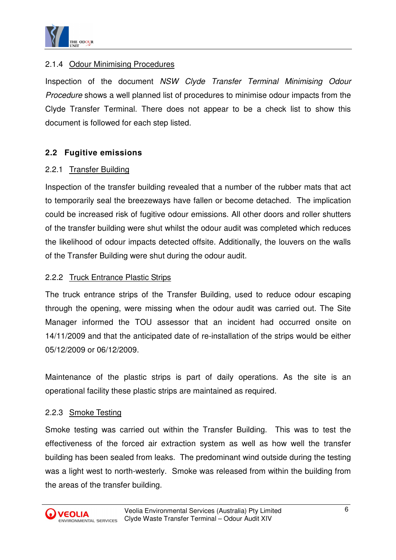

# 2.1.4 Odour Minimising Procedures

Inspection of the document NSW Clyde Transfer Terminal Minimising Odour Procedure shows a well planned list of procedures to minimise odour impacts from the Clyde Transfer Terminal. There does not appear to be a check list to show this document is followed for each step listed.

# **2.2 Fugitive emissions**

#### 2.2.1 Transfer Building

Inspection of the transfer building revealed that a number of the rubber mats that act to temporarily seal the breezeways have fallen or become detached. The implication could be increased risk of fugitive odour emissions. All other doors and roller shutters of the transfer building were shut whilst the odour audit was completed which reduces the likelihood of odour impacts detected offsite. Additionally, the louvers on the walls of the Transfer Building were shut during the odour audit.

#### 2.2.2 Truck Entrance Plastic Strips

The truck entrance strips of the Transfer Building, used to reduce odour escaping through the opening, were missing when the odour audit was carried out. The Site Manager informed the TOU assessor that an incident had occurred onsite on 14/11/2009 and that the anticipated date of re-installation of the strips would be either 05/12/2009 or 06/12/2009.

Maintenance of the plastic strips is part of daily operations. As the site is an operational facility these plastic strips are maintained as required.

#### 2.2.3 Smoke Testing

Smoke testing was carried out within the Transfer Building. This was to test the effectiveness of the forced air extraction system as well as how well the transfer building has been sealed from leaks. The predominant wind outside during the testing was a light west to north-westerly. Smoke was released from within the building from the areas of the transfer building.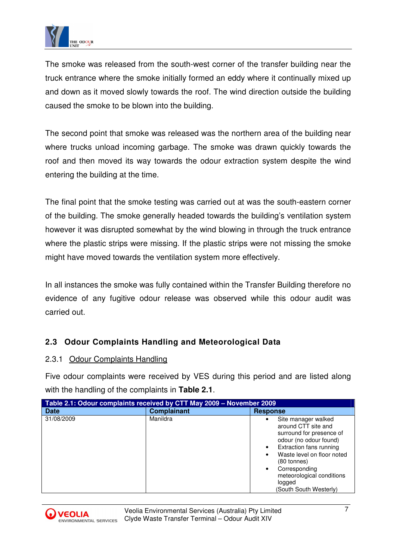

The smoke was released from the south-west corner of the transfer building near the truck entrance where the smoke initially formed an eddy where it continually mixed up and down as it moved slowly towards the roof. The wind direction outside the building caused the smoke to be blown into the building.

The second point that smoke was released was the northern area of the building near where trucks unload incoming garbage. The smoke was drawn quickly towards the roof and then moved its way towards the odour extraction system despite the wind entering the building at the time.

The final point that the smoke testing was carried out at was the south-eastern corner of the building. The smoke generally headed towards the building's ventilation system however it was disrupted somewhat by the wind blowing in through the truck entrance where the plastic strips were missing. If the plastic strips were not missing the smoke might have moved towards the ventilation system more effectively.

In all instances the smoke was fully contained within the Transfer Building therefore no evidence of any fugitive odour release was observed while this odour audit was carried out.

# **2.3 Odour Complaints Handling and Meteorological Data**

#### 2.3.1 Odour Complaints Handling

Five odour complaints were received by VES during this period and are listed along with the handling of the complaints in **Table 2.1**.

| Table 2.1: Odour complaints received by CTT May 2009 - November 2009 |                    |                                                                                                                                                                                                                                                                         |  |  |  |
|----------------------------------------------------------------------|--------------------|-------------------------------------------------------------------------------------------------------------------------------------------------------------------------------------------------------------------------------------------------------------------------|--|--|--|
| <b>Date</b>                                                          | <b>Complainant</b> | <b>Response</b>                                                                                                                                                                                                                                                         |  |  |  |
| 31/08/2009                                                           | Manildra           | Site manager walked<br>around CTT site and<br>surround for presence of<br>odour (no odour found)<br>Extraction fans running<br>Waste level on floor noted<br>(80 tonnes)<br>Corresponding<br>$\bullet$<br>meteorological conditions<br>logged<br>(South South Westerly) |  |  |  |

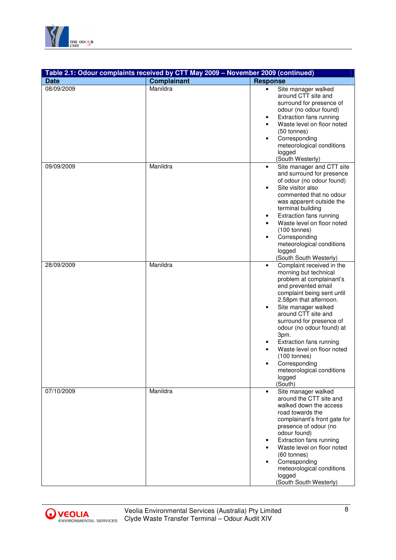

|             | Table 2.1: Odour complaints received by CTT May 2009 - November 2009 (continued) |                                                                                                                                                                                                                                                                                                                                                                                                                                                          |
|-------------|----------------------------------------------------------------------------------|----------------------------------------------------------------------------------------------------------------------------------------------------------------------------------------------------------------------------------------------------------------------------------------------------------------------------------------------------------------------------------------------------------------------------------------------------------|
| <b>Date</b> | <b>Complainant</b>                                                               | <b>Response</b>                                                                                                                                                                                                                                                                                                                                                                                                                                          |
| 08/09/2009  | Manildra                                                                         | Site manager walked<br>$\bullet$<br>around CTT site and<br>surround for presence of<br>odour (no odour found)<br>Extraction fans running<br>٠<br>Waste level on floor noted<br>(50 tonnes)<br>Corresponding<br>$\bullet$<br>meteorological conditions<br>logged<br>(South Westerly)                                                                                                                                                                      |
| 09/09/2009  | Manildra                                                                         | Site manager and CTT site<br>$\bullet$<br>and surround for presence<br>of odour (no odour found)<br>Site visitor also<br>$\bullet$<br>commented that no odour<br>was apparent outside the<br>terminal building<br>Extraction fans running<br>٠<br>Waste level on floor noted<br>$(100 \t{tonnes})$<br>Corresponding<br>$\bullet$<br>meteorological conditions<br>logged<br>(South South Westerly)                                                        |
| 28/09/2009  | Manildra                                                                         | Complaint received in the<br>$\bullet$<br>morning but technical<br>problem at complainant's<br>end prevented email<br>complaint being sent until<br>2.58pm that afternoon.<br>Site manager walked<br>$\bullet$<br>around CTT site and<br>surround for presence of<br>odour (no odour found) at<br>3pm.<br>Extraction fans running<br>Waste level on floor noted<br>$(100 \t{tonnes})$<br>Corresponding<br>meteorological conditions<br>logged<br>(South) |
| 07/10/2009  | Manildra                                                                         | Site manager walked<br>$\bullet$<br>around the CTT site and<br>walked down the access<br>road towards the<br>complainant's front gate for<br>presence of odour (no<br>odour found)<br>Extraction fans running<br>Waste level on floor noted<br>(60 tonnes)<br>Corresponding<br>meteorological conditions<br>logged<br>(South South Westerly)                                                                                                             |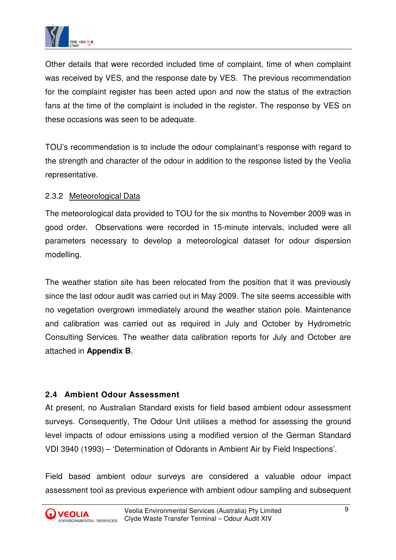

Other details that were recorded included time of complaint, time of when complaint was received by VES, and the response date by VES. The previous recommendation for the complaint register has been acted upon and now the status of the extraction fans at the time of the complaint is included in the register. The response by VES on these occasions was seen to be adequate.

TOU's recommendation is to include the odour complainant's response with regard to the strength and character of the odour in addition to the response listed by the Veolia representative.

### 2.3.2 Meteorological Data

The meteorological data provided to TOU for the six months to November 2009 was in good order. Observations were recorded in 15-minute intervals, included were all parameters necessary to develop a meteorological dataset for odour dispersion modelling.

The weather station site has been relocated from the position that it was previously since the last odour audit was carried out in May 2009. The site seems accessible with no vegetation overgrown immediately around the weather station pole. Maintenance and calibration was carried out as required in July and October by Hydrometric Consulting Services. The weather data calibration reports for July and October are attached in **Appendix B**.

# **2.4 Ambient Odour Assessment**

At present, no Australian Standard exists for field based ambient odour assessment surveys. Consequently, The Odour Unit utilises a method for assessing the ground level impacts of odour emissions using a modified version of the German Standard VDI 3940 (1993) – 'Determination of Odorants in Ambient Air by Field Inspections'.

Field based ambient odour surveys are considered a valuable odour impact assessment tool as previous experience with ambient odour sampling and subsequent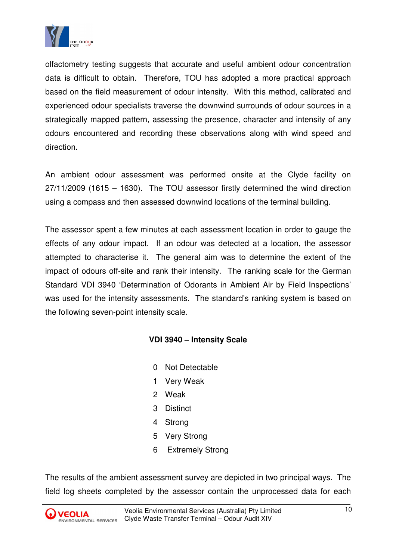

olfactometry testing suggests that accurate and useful ambient odour concentration data is difficult to obtain. Therefore, TOU has adopted a more practical approach based on the field measurement of odour intensity. With this method, calibrated and experienced odour specialists traverse the downwind surrounds of odour sources in a strategically mapped pattern, assessing the presence, character and intensity of any odours encountered and recording these observations along with wind speed and direction.

An ambient odour assessment was performed onsite at the Clyde facility on 27/11/2009 (1615 – 1630). The TOU assessor firstly determined the wind direction using a compass and then assessed downwind locations of the terminal building.

The assessor spent a few minutes at each assessment location in order to gauge the effects of any odour impact. If an odour was detected at a location, the assessor attempted to characterise it. The general aim was to determine the extent of the impact of odours off-site and rank their intensity. The ranking scale for the German Standard VDI 3940 'Determination of Odorants in Ambient Air by Field Inspections' was used for the intensity assessments. The standard's ranking system is based on the following seven-point intensity scale.

#### **VDI 3940 – Intensity Scale**

- 0 Not Detectable
- 1 Very Weak
- 2 Weak
- 3 Distinct
- 4 Strong
- 5 Very Strong
- 6 Extremely Strong

The results of the ambient assessment survey are depicted in two principal ways. The field log sheets completed by the assessor contain the unprocessed data for each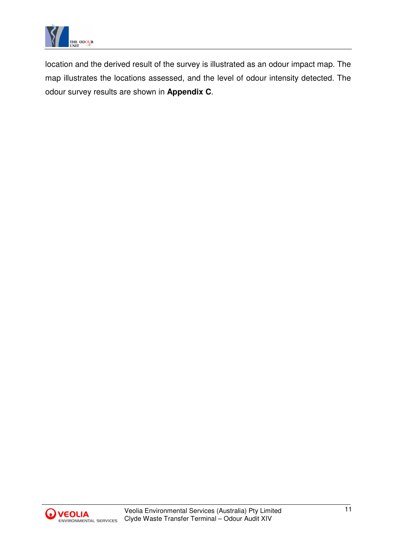

location and the derived result of the survey is illustrated as an odour impact map. The map illustrates the locations assessed, and the level of odour intensity detected. The odour survey results are shown in **Appendix C**.

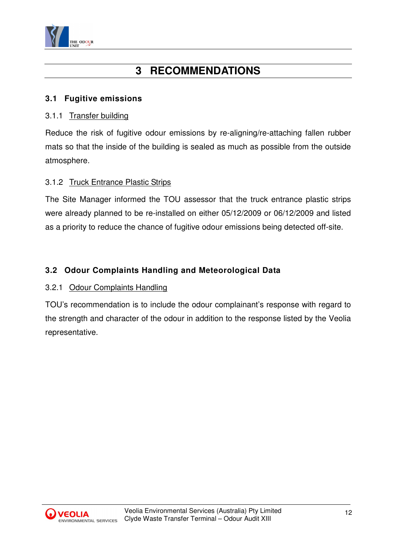

# **3 RECOMMENDATIONS**

# **3.1 Fugitive emissions**

#### 3.1.1 Transfer building

Reduce the risk of fugitive odour emissions by re-aligning/re-attaching fallen rubber mats so that the inside of the building is sealed as much as possible from the outside atmosphere.

### 3.1.2 Truck Entrance Plastic Strips

The Site Manager informed the TOU assessor that the truck entrance plastic strips were already planned to be re-installed on either 05/12/2009 or 06/12/2009 and listed as a priority to reduce the chance of fugitive odour emissions being detected off-site.

# **3.2 Odour Complaints Handling and Meteorological Data**

#### 3.2.1 Odour Complaints Handling

TOU's recommendation is to include the odour complainant's response with regard to the strength and character of the odour in addition to the response listed by the Veolia representative.

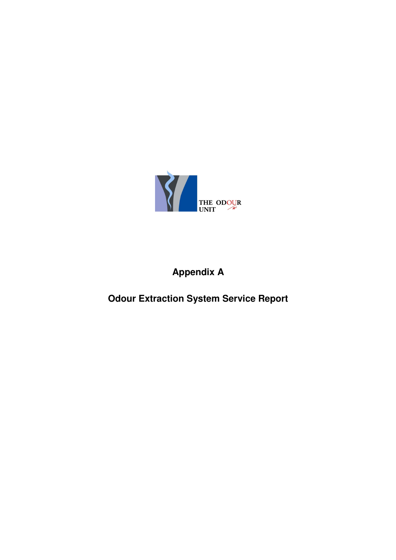

# **Appendix A**

**Odour Extraction System Service Report**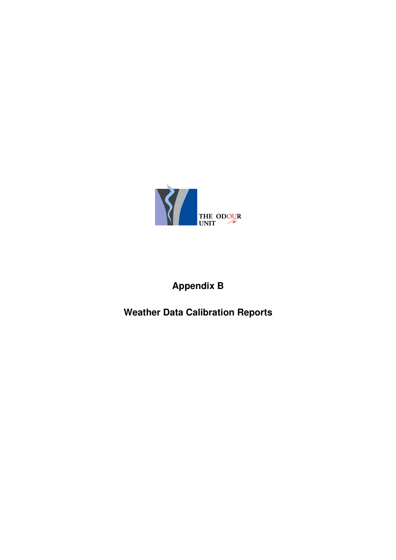

# **Appendix B**

# **Weather Data Calibration Reports**